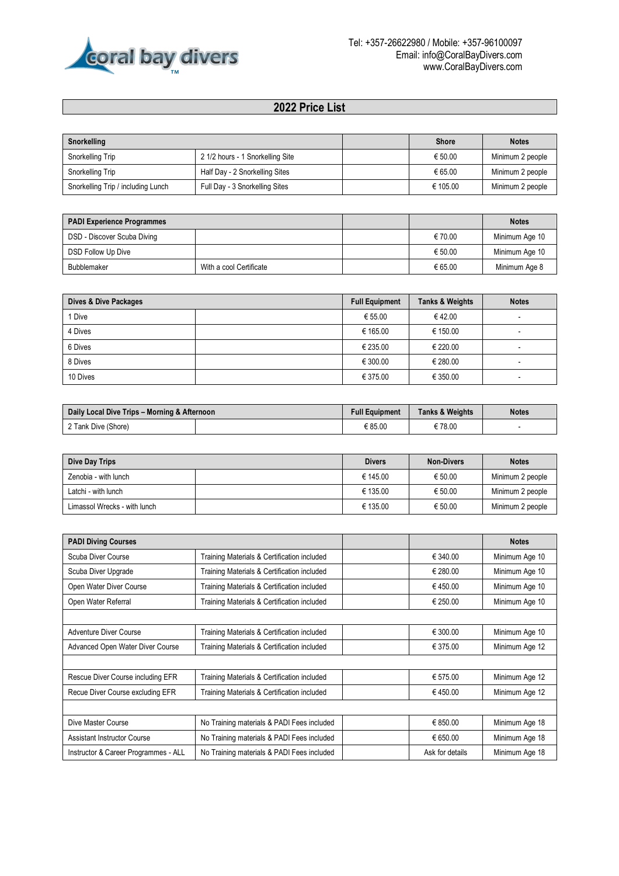

## **2022 Price List**

| Snorkelling                        |                                  | <b>Shore</b> | <b>Notes</b>     |
|------------------------------------|----------------------------------|--------------|------------------|
| Snorkelling Trip                   | 2 1/2 hours - 1 Snorkelling Site | € 50.00      | Minimum 2 people |
| Snorkelling Trip                   | Half Day - 2 Snorkelling Sites   | € 65.00      | Minimum 2 people |
| Snorkelling Trip / including Lunch | Full Day - 3 Snorkelling Sites   | € 105.00     | Minimum 2 people |

| <b>PADI Experience Programmes</b> |                         |         | <b>Notes</b>   |
|-----------------------------------|-------------------------|---------|----------------|
| DSD - Discover Scuba Diving       |                         | € 70.00 | Minimum Age 10 |
| DSD Follow Up Dive                |                         | € 50.00 | Minimum Age 10 |
| Bubblemaker                       | With a cool Certificate | € 65.00 | Minimum Age 8  |

| Dives & Dive Packages | <b>Full Equipment</b> | <b>Tanks &amp; Weights</b> | <b>Notes</b> |
|-----------------------|-----------------------|----------------------------|--------------|
| 1 Dive                | € 55.00               | €42.00                     | -            |
| 4 Dives               | € 165.00              | € 150.00                   | -            |
| 6 Dives               | € 235.00              | € 220.00                   | -            |
| 8 Dives               | € 300.00              | € 280.00                   | -            |
| 10 Dives              | € 375.00              | € 350.00                   | -            |

| Daily Local Dive Trips - Morning & Afternoon |  | <b>Full Equipment</b> | <b>Tanks &amp; Weights</b> | <b>Notes</b> |
|----------------------------------------------|--|-----------------------|----------------------------|--------------|
| 2 Tank Dive (Shore)                          |  | E 85.OC               | € 78.00                    |              |

| Dive Day Trips               | <b>Divers</b> | <b>Non-Divers</b> | <b>Notes</b>     |
|------------------------------|---------------|-------------------|------------------|
| Zenobia - with lunch         | € 145.00      | € 50.00           | Minimum 2 people |
| Latchi - with lunch          | € 135.00      | € 50.00           | Minimum 2 people |
| Limassol Wrecks - with lunch | € 135.00      | € 50.00           | Minimum 2 people |

| <b>PADI Diving Courses</b>           |                                             |                 | <b>Notes</b>   |
|--------------------------------------|---------------------------------------------|-----------------|----------------|
| Scuba Diver Course                   | Training Materials & Certification included | € 340.00        | Minimum Age 10 |
| Scuba Diver Upgrade                  | Training Materials & Certification included | € 280.00        | Minimum Age 10 |
| Open Water Diver Course              | Training Materials & Certification included | € 450.00        | Minimum Age 10 |
| Open Water Referral                  | Training Materials & Certification included | € 250.00        | Minimum Age 10 |
|                                      |                                             |                 |                |
| Adventure Diver Course               | Training Materials & Certification included | € 300.00        | Minimum Age 10 |
| Advanced Open Water Diver Course     | Training Materials & Certification included | € 375.00        | Minimum Age 12 |
|                                      |                                             |                 |                |
| Rescue Diver Course including EFR    | Training Materials & Certification included | € 575.00        | Minimum Age 12 |
| Recue Diver Course excluding EFR     | Training Materials & Certification included | €450.00         | Minimum Age 12 |
|                                      |                                             |                 |                |
| Dive Master Course                   | No Training materials & PADI Fees included  | € 850.00        | Minimum Age 18 |
| <b>Assistant Instructor Course</b>   | No Training materials & PADI Fees included  | € 650.00        | Minimum Age 18 |
| Instructor & Career Programmes - ALL | No Training materials & PADI Fees included  | Ask for details | Minimum Age 18 |